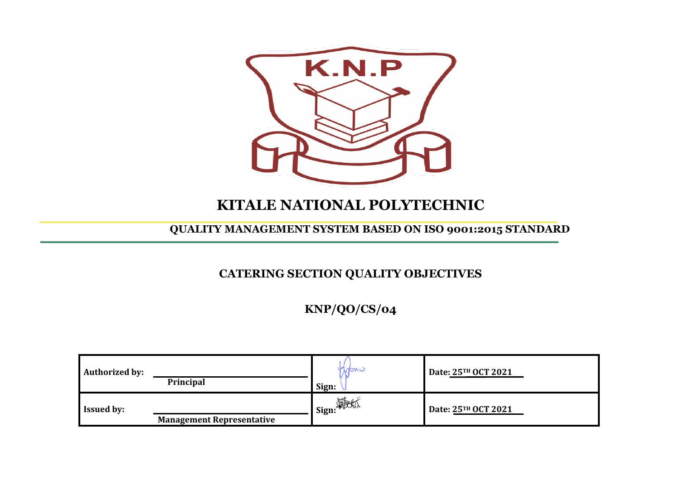

# **KITALE NATIONAL POLYTECHNIC**

#### **QUALITY MANAGEMENT SYSTEM BASED ON ISO 9001:2015 STANDARD**

## **CATERING SECTION QUALITY OBJECTIVES**

**KNP/QO/CS/04**

| <b>Authorized by:</b> | <b>Principal</b>                 | nan c<br>Sign:      | Date: 25TH OCT 2021 |
|-----------------------|----------------------------------|---------------------|---------------------|
| <b>Issued by:</b>     | <b>Management Representative</b> | <b>__i</b> Sign: 游览 | Date: 25TH OCT 2021 |